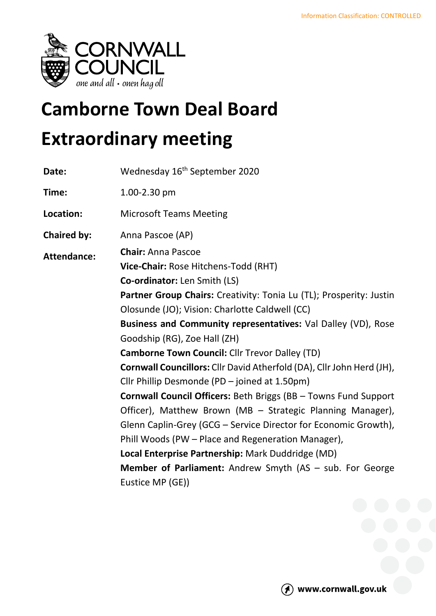

# **Camborne Town Deal Board Extraordinary meeting**

| Date:              | Wednesday 16 <sup>th</sup> September 2020                              |
|--------------------|------------------------------------------------------------------------|
| Time:              | 1.00-2.30 pm                                                           |
| Location:          | <b>Microsoft Teams Meeting</b>                                         |
| <b>Chaired by:</b> | Anna Pascoe (AP)                                                       |
| <b>Attendance:</b> | <b>Chair: Anna Pascoe</b>                                              |
|                    | Vice-Chair: Rose Hitchens-Todd (RHT)                                   |
|                    | <b>Co-ordinator:</b> Len Smith (LS)                                    |
|                    | Partner Group Chairs: Creativity: Tonia Lu (TL); Prosperity: Justin    |
|                    | Olosunde (JO); Vision: Charlotte Caldwell (CC)                         |
|                    | Business and Community representatives: Val Dalley (VD), Rose          |
|                    | Goodship (RG), Zoe Hall (ZH)                                           |
|                    | <b>Camborne Town Council: Cllr Trevor Dalley (TD)</b>                  |
|                    | Cornwall Councillors: Cllr David Atherfold (DA), Cllr John Herd (JH),  |
|                    | Cllr Phillip Desmonde (PD - joined at 1.50pm)                          |
|                    | <b>Cornwall Council Officers: Beth Briggs (BB - Towns Fund Support</b> |
|                    | Officer), Matthew Brown (MB - Strategic Planning Manager),             |
|                    | Glenn Caplin-Grey (GCG - Service Director for Economic Growth),        |
|                    | Phill Woods (PW – Place and Regeneration Manager),                     |
|                    | Local Enterprise Partnership: Mark Duddridge (MD)                      |
|                    | <b>Member of Parliament:</b> Andrew Smyth (AS - sub. For George        |
|                    | Eustice MP (GE))                                                       |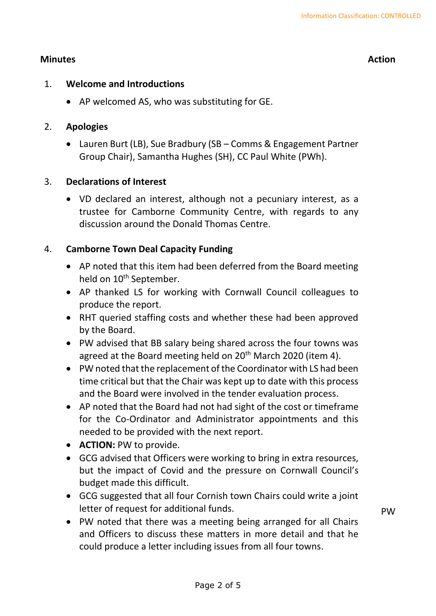### **Minutes Action**

#### 1. **Welcome and Introductions**

• AP welcomed AS, who was substituting for GE.

### 2. **Apologies**

• Lauren Burt (LB), Sue Bradbury (SB – Comms & Engagement Partner Group Chair), Samantha Hughes (SH), CC Paul White (PWh).

### 3. **Declarations of Interest**

• VD declared an interest, although not a pecuniary interest, as a trustee for Camborne Community Centre, with regards to any discussion around the Donald Thomas Centre.

## 4. **Camborne Town Deal Capacity Funding**

- AP noted that this item had been deferred from the Board meeting held on 10<sup>th</sup> September.
- AP thanked LS for working with Cornwall Council colleagues to produce the report.
- RHT queried staffing costs and whether these had been approved by the Board.
- PW advised that BB salary being shared across the four towns was agreed at the Board meeting held on  $20<sup>th</sup>$  March 2020 (item 4).
- PW noted that the replacement of the Coordinator with LS had been time critical but that the Chair was kept up to date with this process and the Board were involved in the tender evaluation process.
- AP noted that the Board had not had sight of the cost or timeframe for the Co-Ordinator and Administrator appointments and this needed to be provided with the next report.
- **ACTION:** PW to provide.
- GCG advised that Officers were working to bring in extra resources, but the impact of Covid and the pressure on Cornwall Council's budget made this difficult.
- GCG suggested that all four Cornish town Chairs could write a joint letter of request for additional funds.
- PW noted that there was a meeting being arranged for all Chairs and Officers to discuss these matters in more detail and that he could produce a letter including issues from all four towns.

PW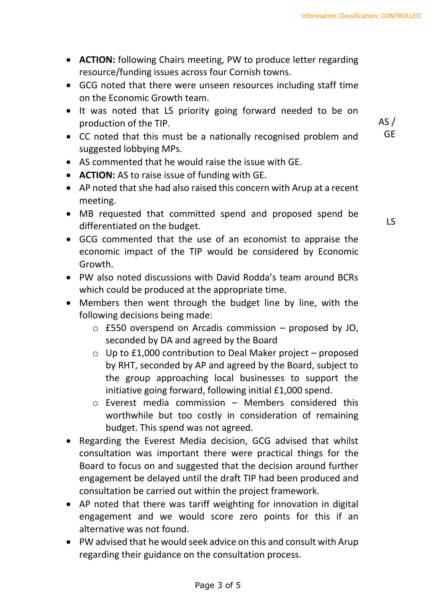- **ACTION:** following Chairs meeting, PW to produce letter regarding resource/funding issues across four Cornish towns.
- GCG noted that there were unseen resources including staff time on the Economic Growth team.
- It was noted that LS priority going forward needed to be on production of the TIP.
- CC noted that this must be a nationally recognised problem and suggested lobbying MPs.
- AS commented that he would raise the issue with GE.
- **ACTION:** AS to raise issue of funding with GE.
- AP noted that she had also raised this concern with Arup at a recent meeting.
- MB requested that committed spend and proposed spend be differentiated on the budget.

LS

 $AS/$ GE

- GCG commented that the use of an economist to appraise the economic impact of the TIP would be considered by Economic Growth.
- PW also noted discussions with David Rodda's team around BCRs which could be produced at the appropriate time.
- Members then went through the budget line by line, with the following decisions being made:
	- o £550 overspend on Arcadis commission proposed by JO, seconded by DA and agreed by the Board
	- o Up to £1,000 contribution to Deal Maker project proposed by RHT, seconded by AP and agreed by the Board, subject to the group approaching local businesses to support the initiative going forward, following initial £1,000 spend.
	- o Everest media commission Members considered this worthwhile but too costly in consideration of remaining budget. This spend was not agreed.
- Regarding the Everest Media decision, GCG advised that whilst consultation was important there were practical things for the Board to focus on and suggested that the decision around further engagement be delayed until the draft TIP had been produced and consultation be carried out within the project framework.
- AP noted that there was tariff weighting for innovation in digital engagement and we would score zero points for this if an alternative was not found.
- PW advised that he would seek advice on this and consult with Arup regarding their guidance on the consultation process.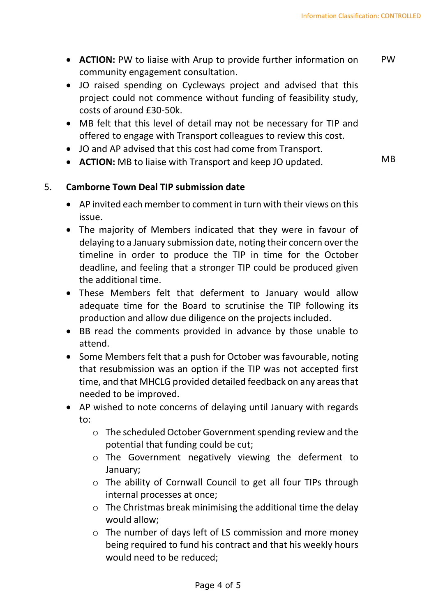MB

- **ACTION:** PW to liaise with Arup to provide further information on community engagement consultation. PW
- JO raised spending on Cycleways project and advised that this project could not commence without funding of feasibility study, costs of around £30-50k.
- MB felt that this level of detail may not be necessary for TIP and offered to engage with Transport colleagues to review this cost.
- JO and AP advised that this cost had come from Transport.
- **ACTION:** MB to liaise with Transport and keep JO updated.

### 5. **Camborne Town Deal TIP submission date**

- AP invited each member to comment in turn with their views on this issue.
- The majority of Members indicated that they were in favour of delaying to a January submission date, noting their concern over the timeline in order to produce the TIP in time for the October deadline, and feeling that a stronger TIP could be produced given the additional time.
- These Members felt that deferment to January would allow adequate time for the Board to scrutinise the TIP following its production and allow due diligence on the projects included.
- BB read the comments provided in advance by those unable to attend.
- Some Members felt that a push for October was favourable, noting that resubmission was an option if the TIP was not accepted first time, and that MHCLG provided detailed feedback on any areas that needed to be improved.
- AP wished to note concerns of delaying until January with regards to:
	- o The scheduled October Government spending review and the potential that funding could be cut;
	- o The Government negatively viewing the deferment to January;
	- o The ability of Cornwall Council to get all four TIPs through internal processes at once;
	- $\circ$  The Christmas break minimising the additional time the delay would allow;
	- o The number of days left of LS commission and more money being required to fund his contract and that his weekly hours would need to be reduced;